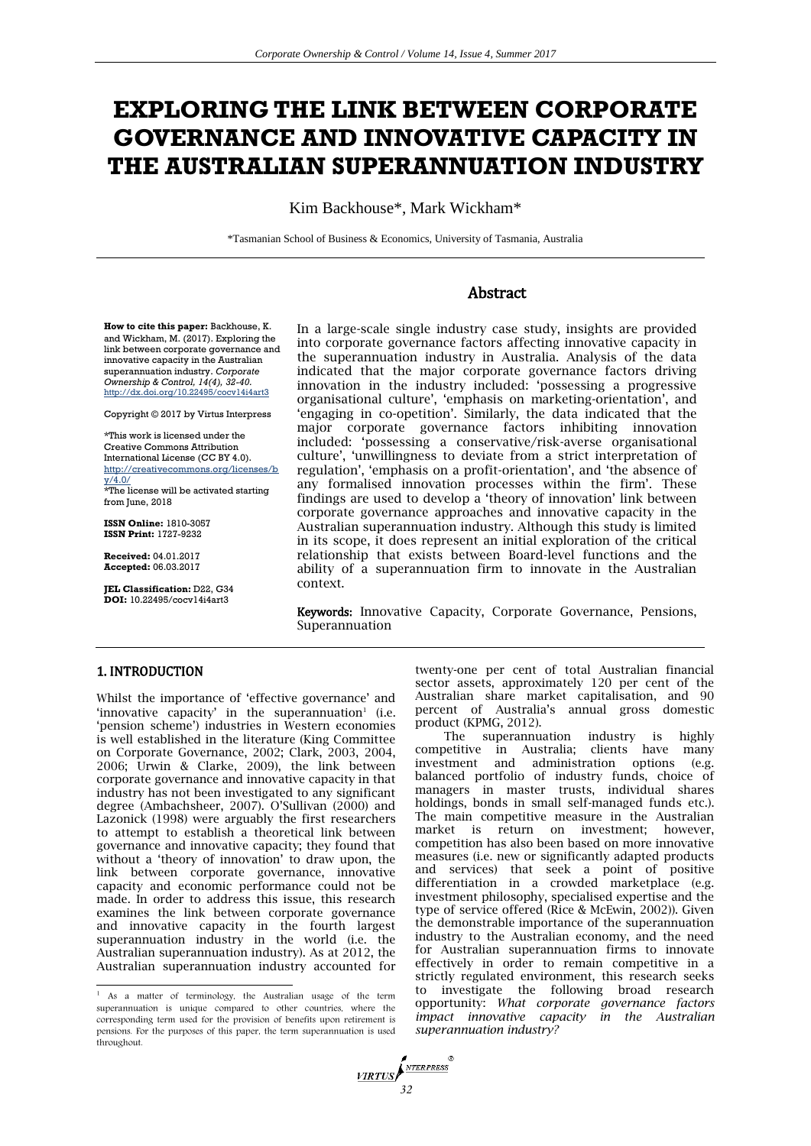# **EXPLORING THE LINK BETWEEN CORPORATE GOVERNANCE AND INNOVATIVE CAPACITY IN THE AUSTRALIAN SUPERANNUATION INDUSTRY**

Kim Backhouse\*, Mark Wickham\*

\*Tasmanian School of Business & Economics, University of Tasmania, Australia

# Abstract

**How to cite this paper:** Backhouse, K. and Wickham, M. (2017). Exploring the link between corporate governance and innovative capacity in the Australian superannuation industry. *Corporate Ownership & Control, 14(4), 32-40.* http://dx.doi.org/10.22495/cocv14i4art3

Copyright © 2017 by Virtus Interpress

\*This work is licensed under the Creative Commons Attribution International License (CC BY 4.0). http://creativecommons.org/licenses/b  $y/4.0/$ \*The license will be activated starting

from June, 2018

**ISSN Online:** 1810-3057 **ISSN Print:** 1727-9232

**Received:** 04.01.2017 **Accepted:** 06.03.2017

**JEL Classification:** D22, G34 **DOI:** 10.22495/cocv14i4art3

In a large-scale single industry case study, insights are provided into corporate governance factors affecting innovative capacity in the superannuation industry in Australia. Analysis of the data indicated that the major corporate governance factors driving innovation in the industry included: 'possessing a progressive organisational culture', 'emphasis on marketing-orientation', and 'engaging in co-opetition'. Similarly, the data indicated that the major corporate governance factors inhibiting innovation included: 'possessing a conservative/risk-averse organisational culture', 'unwillingness to deviate from a strict interpretation of regulation', 'emphasis on a profit-orientation', and 'the absence of any formalised innovation processes within the firm'. These findings are used to develop a 'theory of innovation' link between corporate governance approaches and innovative capacity in the Australian superannuation industry. Although this study is limited in its scope, it does represent an initial exploration of the critical relationship that exists between Board-level functions and the ability of a superannuation firm to innovate in the Australian context.

Keywords: Innovative Capacity, Corporate Governance, Pensions, Superannuation

### 1. INTRODUCTION

 $\overline{a}$ 

Whilst the importance of 'effective governance' and 'innovative capacity' in the superannuation<sup>1</sup> (i.e. 'pension scheme') industries in Western economies is well established in the literature (King Committee on Corporate Governance, 2002; Clark, 2003, 2004, 2006; Urwin & Clarke, 2009), the link between corporate governance and innovative capacity in that industry has not been investigated to any significant degree (Ambachsheer, 2007). O'Sullivan (2000) and Lazonick (1998) were arguably the first researchers to attempt to establish a theoretical link between governance and innovative capacity; they found that without a 'theory of innovation' to draw upon, the link between corporate governance, innovative capacity and economic performance could not be made. In order to address this issue, this research examines the link between corporate governance and innovative capacity in the fourth largest superannuation industry in the world (i.e. the Australian superannuation industry). As at 2012, the Australian superannuation industry accounted for

twenty-one per cent of total Australian financial sector assets, approximately 120 per cent of the Australian share market capitalisation, and 90 percent of Australia's annual gross domestic product (KPMG, 2012).

The superannuation industry is highly competitive in Australia; clients have many investment and administration options (e.g. balanced portfolio of industry funds, choice of managers in master trusts, individual shares holdings, bonds in small self-managed funds etc.). The main competitive measure in the Australian market is return on investment; however, competition has also been based on more innovative measures (i.e. new or significantly adapted products and services) that seek a point of positive differentiation in a crowded marketplace (e.g. investment philosophy, specialised expertise and the type of service offered (Rice & McEwin, 2002)). Given the demonstrable importance of the superannuation industry to the Australian economy, and the need for Australian superannuation firms to innovate effectively in order to remain competitive in a strictly regulated environment, this research seeks to investigate the following broad research opportunity: *What corporate governance factors impact innovative capacity in the Australian superannuation industry?*



<sup>&</sup>lt;sup>1</sup> As a matter of terminology, the Australian usage of the term superannuation is unique compared to other countries, where the corresponding term used for the provision of benefits upon retirement is pensions. For the purposes of this paper, the term superannuation is used throughout.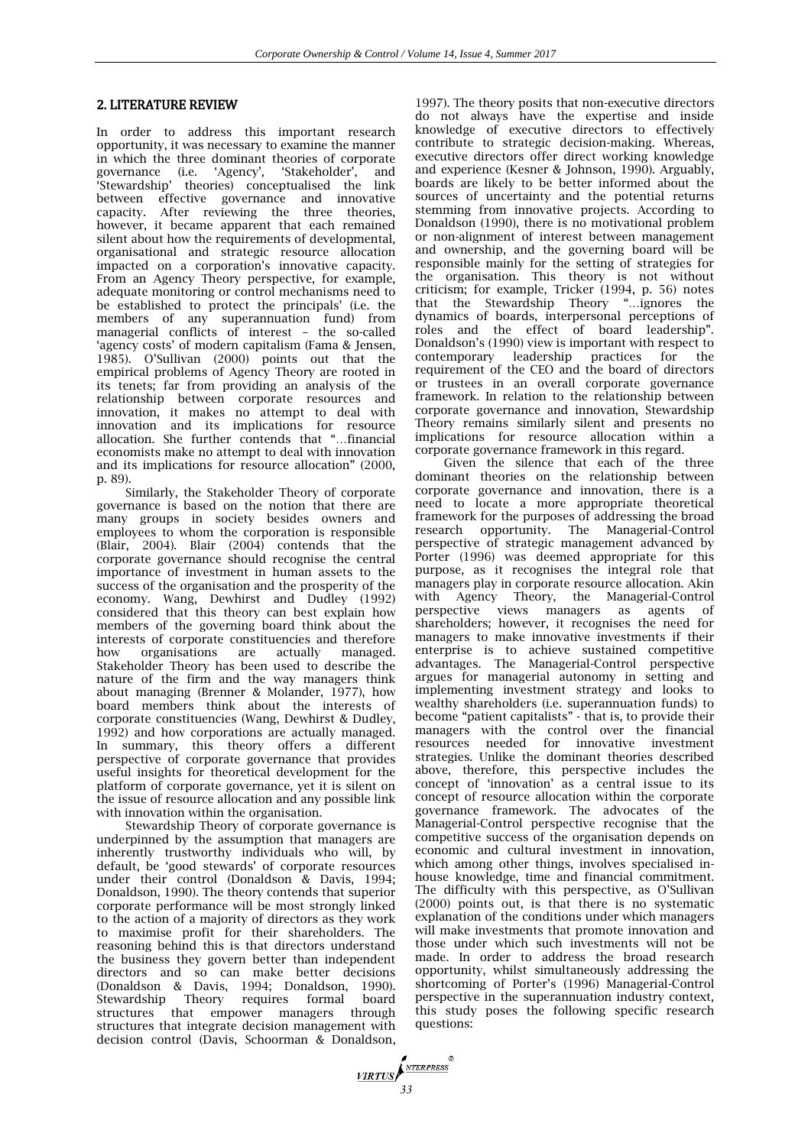### 2. LITERATURE REVIEW

In order to address this important research opportunity, it was necessary to examine the manner in which the three dominant theories of corporate governance (i.e. 'Agency', 'Stakeholder', and 'Stewardship' theories) conceptualised the link between effective governance and innovative capacity. After reviewing the three theories, however, it became apparent that each remained silent about how the requirements of developmental, organisational and strategic resource allocation impacted on a corporation's innovative capacity. From an Agency Theory perspective, for example, adequate monitoring or control mechanisms need to be established to protect the principals' (i.e. the members of any superannuation fund) from managerial conflicts of interest – the so-called 'agency costs' of modern capitalism (Fama & Jensen, 1985). O'Sullivan (2000) points out that the empirical problems of Agency Theory are rooted in its tenets; far from providing an analysis of the relationship between corporate resources and innovation, it makes no attempt to deal with innovation and its implications for resource allocation. She further contends that "…financial economists make no attempt to deal with innovation and its implications for resource allocation" (2000, p. 89).

Similarly, the Stakeholder Theory of corporate governance is based on the notion that there are many groups in society besides owners and employees to whom the corporation is responsible (Blair, 2004). Blair (2004) contends that the corporate governance should recognise the central importance of investment in human assets to the success of the organisation and the prosperity of the economy. Wang, Dewhirst and Dudley (1992) considered that this theory can best explain how members of the governing board think about the interests of corporate constituencies and therefore how organisations are actually managed. Stakeholder Theory has been used to describe the nature of the firm and the way managers think about managing (Brenner & Molander, 1977), how board members think about the interests of corporate constituencies (Wang, Dewhirst & Dudley, 1992) and how corporations are actually managed. In summary, this theory offers a different perspective of corporate governance that provides useful insights for theoretical development for the platform of corporate governance, yet it is silent on the issue of resource allocation and any possible link with innovation within the organisation.

Stewardship Theory of corporate governance is underpinned by the assumption that managers are inherently trustworthy individuals who will, by default, be 'good stewards' of corporate resources under their control (Donaldson & Davis, 1994; Donaldson, 1990). The theory contends that superior corporate performance will be most strongly linked to the action of a majority of directors as they work to maximise profit for their shareholders. The reasoning behind this is that directors understand the business they govern better than independent directors and so can make better decisions (Donaldson & Davis, 1994; Donaldson, 1990). Stewardship Theory requires formal board structures that empower managers through structures that integrate decision management with decision control (Davis, Schoorman & Donaldson*,*

1997). The theory posits that non-executive directors do not always have the expertise and inside knowledge of executive directors to effectively contribute to strategic decision-making. Whereas, executive directors offer direct working knowledge and experience (Kesner & Johnson, 1990). Arguably, boards are likely to be better informed about the sources of uncertainty and the potential returns stemming from innovative projects. According to Donaldson (1990), there is no motivational problem or non-alignment of interest between management and ownership, and the governing board will be responsible mainly for the setting of strategies for the organisation. This theory is not without criticism; for example, Tricker (1994, p. 56) notes that the Stewardship Theory "…ignores the dynamics of boards, interpersonal perceptions of roles and the effect of board leadership". Donaldson's (1990) view is important with respect to contemporary leadership practices for the requirement of the CEO and the board of directors or trustees in an overall corporate governance framework. In relation to the relationship between corporate governance and innovation, Stewardship Theory remains similarly silent and presents no implications for resource allocation within a corporate governance framework in this regard.

Given the silence that each of the three dominant theories on the relationship between corporate governance and innovation, there is a need to locate a more appropriate theoretical framework for the purposes of addressing the broad research opportunity. The Managerial-Control perspective of strategic management advanced by Porter (1996) was deemed appropriate for this purpose, as it recognises the integral role that managers play in corporate resource allocation. Akin with Agency Theory, the Managerial-Control perspective views managers as agents of shareholders; however, it recognises the need for managers to make innovative investments if their enterprise is to achieve sustained competitive advantages. The Managerial-Control perspective argues for managerial autonomy in setting and implementing investment strategy and looks to wealthy shareholders (i.e. superannuation funds) to become "patient capitalists" - that is, to provide their managers with the control over the financial resources needed for innovative investment strategies. Unlike the dominant theories described above, therefore, this perspective includes the concept of 'innovation' as a central issue to its concept of resource allocation within the corporate governance framework. The advocates of the Managerial-Control perspective recognise that the competitive success of the organisation depends on economic and cultural investment in innovation, which among other things, involves specialised inhouse knowledge, time and financial commitment. The difficulty with this perspective, as O'Sullivan (2000) points out, is that there is no systematic explanation of the conditions under which managers will make investments that promote innovation and those under which such investments will not be made. In order to address the broad research opportunity, whilst simultaneously addressing the shortcoming of Porter's (1996) Managerial-Control perspective in the superannuation industry context, this study poses the following specific research questions:

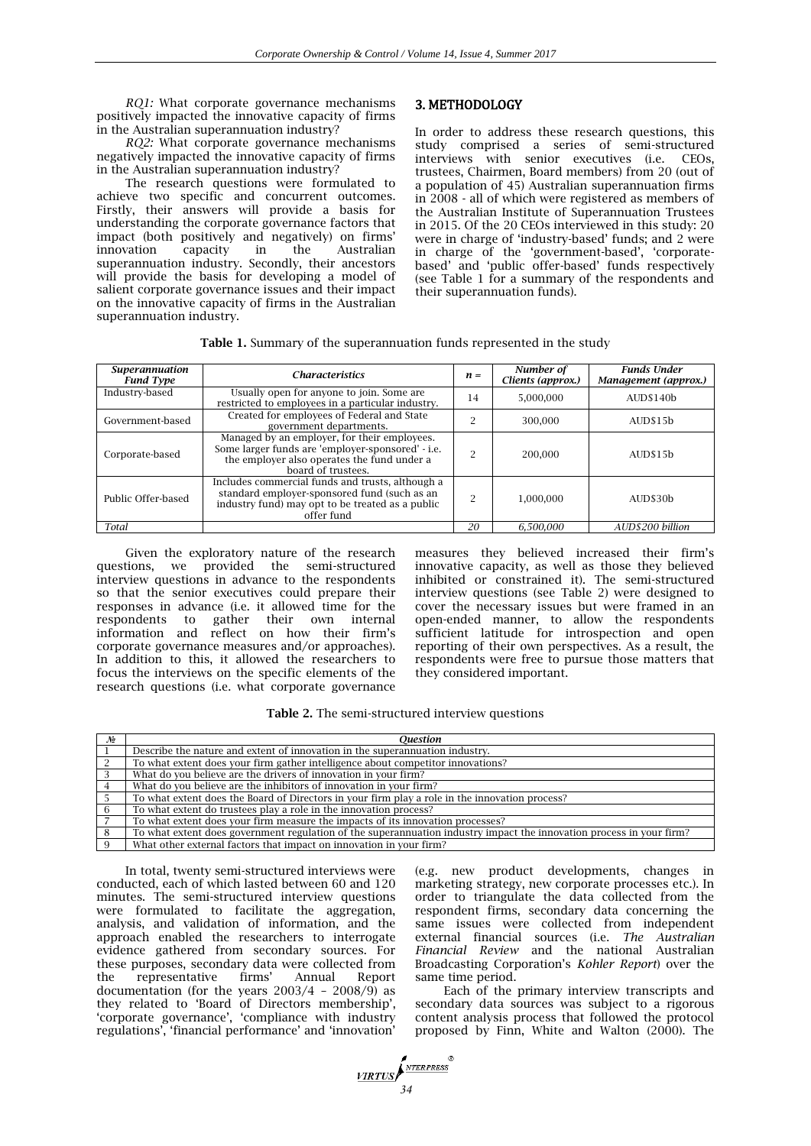*RQ1:* What corporate governance mechanisms positively impacted the innovative capacity of firms in the Australian superannuation industry?

*RQ2:* What corporate governance mechanisms negatively impacted the innovative capacity of firms in the Australian superannuation industry?

The research questions were formulated to achieve two specific and concurrent outcomes. Firstly, their answers will provide a basis for understanding the corporate governance factors that impact (both positively and negatively) on firms' innovation capacity in the Australian superannuation industry. Secondly, their ancestors will provide the basis for developing a model of salient corporate governance issues and their impact on the innovative capacity of firms in the Australian superannuation industry.

# 3. METHODOLOGY

In order to address these research questions, this study comprised a series of semi-structured interviews with senior executives (i.e. CEOs, trustees, Chairmen, Board members) from 20 (out of a population of 45) Australian superannuation firms in 2008 - all of which were registered as members of the Australian Institute of Superannuation Trustees in 2015. Of the 20 CEOs interviewed in this study: 20 were in charge of 'industry-based' funds; and 2 were in charge of the 'government-based', 'corporatebased' and 'public offer-based' funds respectively (see Table 1 for a summary of the respondents and their superannuation funds).

| <b>Table 1.</b> Summary of the superannuation funds represented in the study |  |  |  |  |  |
|------------------------------------------------------------------------------|--|--|--|--|--|
|------------------------------------------------------------------------------|--|--|--|--|--|

| <b>Superannuation</b><br><b>Fund Type</b> | <i><b>Characteristics</b></i>                                                                                                                                          | $n =$ | Number of<br>Clients (approx.) | <b>Funds Under</b><br>Management (approx.) |
|-------------------------------------------|------------------------------------------------------------------------------------------------------------------------------------------------------------------------|-------|--------------------------------|--------------------------------------------|
| Industry-based                            | Usually open for anyone to join. Some are<br>restricted to employees in a particular industry.                                                                         | 14    | 5,000,000                      | AUD\$140b                                  |
| Government-based                          | Created for employees of Federal and State<br>government departments.                                                                                                  | ∩     | 300,000                        | AUD\$15b                                   |
| Corporate-based                           | Managed by an employer, for their employees.<br>Some larger funds are 'employer-sponsored' - i.e.<br>the employer also operates the fund under a<br>board of trustees. | G     | 200,000                        | AUD\$15b                                   |
| Public Offer-based                        | Includes commercial funds and trusts, although a<br>standard employer-sponsored fund (such as an<br>industry fund) may opt to be treated as a public<br>offer fund     | o     | 1.000.000                      | AUD\$30b                                   |
| Total                                     |                                                                                                                                                                        | 20    | 6,500,000                      | AUD\$200 billion                           |

Given the exploratory nature of the research questions, we provided the semi-structured interview questions in advance to the respondents so that the senior executives could prepare their responses in advance (i.e. it allowed time for the respondents to gather their own internal information and reflect on how their firm's corporate governance measures and/or approaches). In addition to this, it allowed the researchers to focus the interviews on the specific elements of the research questions (i.e. what corporate governance

measures they believed increased their firm's innovative capacity, as well as those they believed inhibited or constrained it). The semi-structured interview questions (see Table 2) were designed to cover the necessary issues but were framed in an open-ended manner, to allow the respondents sufficient latitude for introspection and open reporting of their own perspectives. As a result, the respondents were free to pursue those matters that they considered important.

**Table 2.** The semi-structured interview questions

| No | Ouestion                                                                                                             |
|----|----------------------------------------------------------------------------------------------------------------------|
|    | Describe the nature and extent of innovation in the superannuation industry.                                         |
|    | To what extent does your firm gather intelligence about competitor innovations?                                      |
|    | What do you believe are the drivers of innovation in your firm?                                                      |
|    | What do you believe are the inhibitors of innovation in your firm?                                                   |
|    | To what extent does the Board of Directors in your firm play a role in the innovation process?                       |
|    | To what extent do trustees play a role in the innovation process?                                                    |
|    | To what extent does your firm measure the impacts of its innovation processes?                                       |
|    | To what extent does government regulation of the superannuation industry impact the innovation process in your firm? |
|    | What other external factors that impact on innovation in your firm?                                                  |

In total, twenty semi-structured interviews were conducted, each of which lasted between 60 and 120 minutes. The semi-structured interview questions were formulated to facilitate the aggregation, analysis, and validation of information, and the approach enabled the researchers to interrogate evidence gathered from secondary sources. For these purposes, secondary data were collected from the representative firms' Annual Report documentation (for the years  $2003/4 - 2008/9$ ) as they related to 'Board of Directors membership', 'corporate governance', 'compliance with industry regulations', 'financial performance' and 'innovation'

(e.g. new product developments, changes in marketing strategy, new corporate processes etc.). In order to triangulate the data collected from the respondent firms, secondary data concerning the same issues were collected from independent external financial sources (i.e. *The Australian Financial Review* and the national Australian Broadcasting Corporation's *Kohler Report*) over the same time period.

Each of the primary interview transcripts and secondary data sources was subject to a rigorous content analysis process that followed the protocol proposed by Finn, White and Walton (2000). The

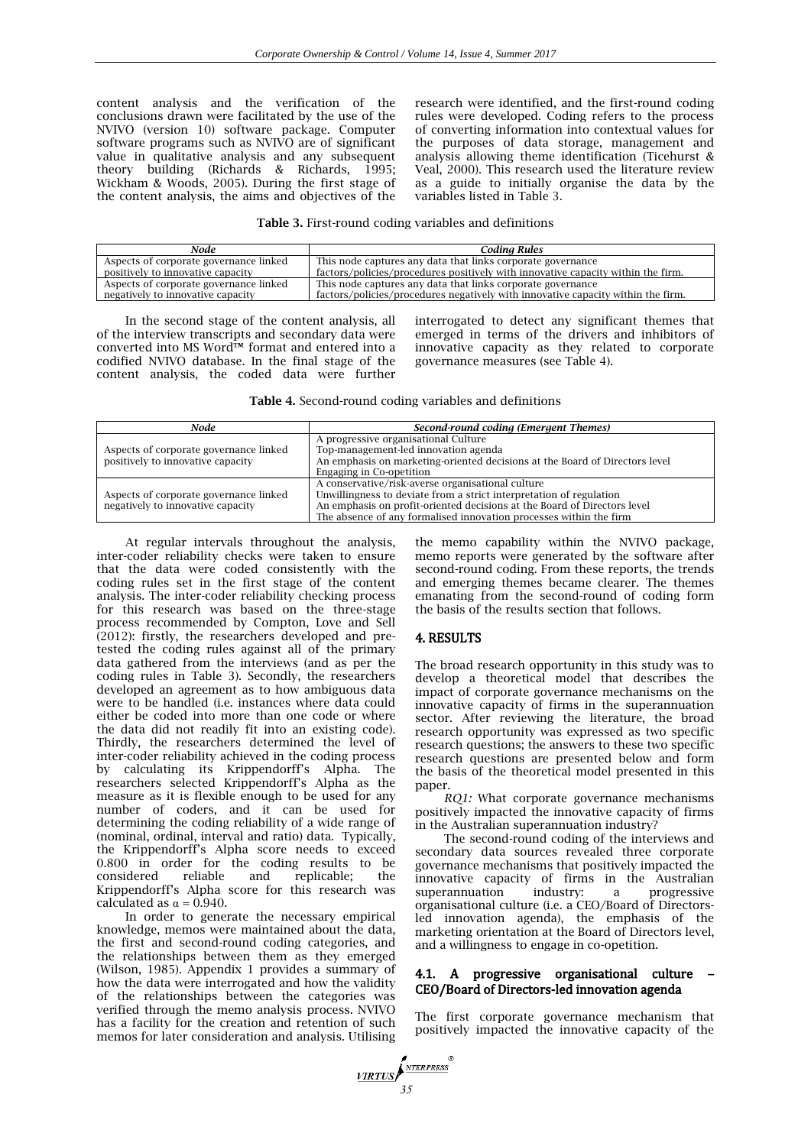content analysis and the verification of the conclusions drawn were facilitated by the use of the NVIVO (version 10) software package. Computer software programs such as NVIVO are of significant value in qualitative analysis and any subsequent theory building (Richards & Richards, 1995; Wickham & Woods, 2005). During the first stage of the content analysis, the aims and objectives of the research were identified, and the first-round coding rules were developed. Coding refers to the process of converting information into contextual values for the purposes of data storage, management and analysis allowing theme identification (Ticehurst & Veal, 2000). This research used the literature review as a guide to initially organise the data by the variables listed in Table 3.

#### **Table 3.** First-round coding variables and definitions

| Node                                   | Codina Rules                                                                     |
|----------------------------------------|----------------------------------------------------------------------------------|
| Aspects of corporate governance linked | This node captures any data that links corporate governance                      |
| positively to innovative capacity      | factors/policies/procedures positively with innovative capacity within the firm. |
| Aspects of corporate governance linked | This node captures any data that links corporate governance                      |
| negatively to innovative capacity      | factors/policies/procedures negatively with innovative capacity within the firm. |

In the second stage of the content analysis, all of the interview transcripts and secondary data were converted into MS Word™ format and entered into a codified NVIVO database. In the final stage of the content analysis, the coded data were further interrogated to detect any significant themes that emerged in terms of the drivers and inhibitors of innovative capacity as they related to corporate governance measures (see Table 4).

**Table 4.** Second-round coding variables and definitions

| Node                                   | Second-round coding (Emergent Themes)                                       |  |
|----------------------------------------|-----------------------------------------------------------------------------|--|
|                                        | A progressive organisational Culture                                        |  |
| Aspects of corporate governance linked | Top-management-led innovation agenda                                        |  |
| positively to innovative capacity      | An emphasis on marketing-oriented decisions at the Board of Directors level |  |
|                                        | Engaging in Co-opetition                                                    |  |
|                                        | A conservative/risk-averse organisational culture                           |  |
| Aspects of corporate governance linked | Unwillingness to deviate from a strict interpretation of regulation         |  |
| negatively to innovative capacity      | An emphasis on profit-oriented decisions at the Board of Directors level    |  |
|                                        | The absence of any formalised innovation processes within the firm          |  |

At regular intervals throughout the analysis, inter-coder reliability checks were taken to ensure that the data were coded consistently with the coding rules set in the first stage of the content analysis. The inter-coder reliability checking process for this research was based on the three-stage process recommended by Compton, Love and Sell (2012): firstly, the researchers developed and pretested the coding rules against all of the primary data gathered from the interviews (and as per the coding rules in Table 3). Secondly, the researchers developed an agreement as to how ambiguous data were to be handled (i.e. instances where data could either be coded into more than one code or where the data did not readily fit into an existing code). Thirdly, the researchers determined the level of inter-coder reliability achieved in the coding process by calculating its Krippendorff's Alpha. The researchers selected Krippendorff's Alpha as the measure as it is flexible enough to be used for any number of coders, and it can be used for determining the coding reliability of a wide range of (nominal, ordinal, interval and ratio) data. Typically, the Krippendorff's Alpha score needs to exceed 0.800 in order for the coding results to be considered reliable and replicable; the Krippendorff's Alpha score for this research was calculated as  $\alpha$  = 0.940.

In order to generate the necessary empirical knowledge, memos were maintained about the data, the first and second-round coding categories, and the relationships between them as they emerged (Wilson, 1985). Appendix 1 provides a summary of how the data were interrogated and how the validity of the relationships between the categories was verified through the memo analysis process. NVIVO has a facility for the creation and retention of such memos for later consideration and analysis. Utilising the memo capability within the NVIVO package, memo reports were generated by the software after second-round coding. From these reports, the trends and emerging themes became clearer. The themes emanating from the second-round of coding form the basis of the results section that follows.

#### 4. RESULTS

The broad research opportunity in this study was to develop a theoretical model that describes the impact of corporate governance mechanisms on the innovative capacity of firms in the superannuation sector. After reviewing the literature, the broad research opportunity was expressed as two specific research questions; the answers to these two specific research questions are presented below and form the basis of the theoretical model presented in this paper.

*RQ1:* What corporate governance mechanisms positively impacted the innovative capacity of firms in the Australian superannuation industry?

The second-round coding of the interviews and secondary data sources revealed three corporate governance mechanisms that positively impacted the innovative capacity of firms in the Australian superannuation industry: a organisational culture (i.e. a CEO/Board of Directorsled innovation agenda), the emphasis of the marketing orientation at the Board of Directors level, and a willingness to engage in co-opetition.

#### 4.1. A progressive organisational culture – CEO/Board of Directors-led innovation agenda

The first corporate governance mechanism that positively impacted the innovative capacity of the

*VIRTUS*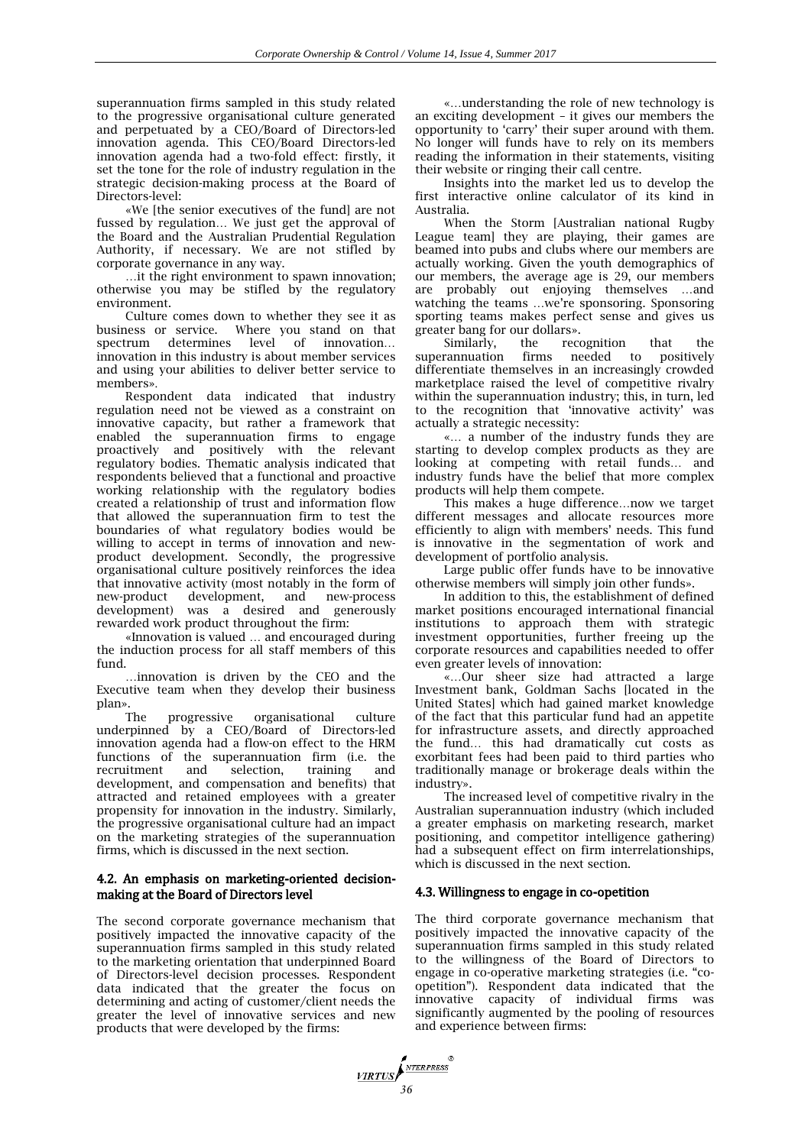superannuation firms sampled in this study related to the progressive organisational culture generated and perpetuated by a CEO/Board of Directors-led innovation agenda. This CEO/Board Directors-led innovation agenda had a two-fold effect: firstly, it set the tone for the role of industry regulation in the strategic decision-making process at the Board of Directors-level:

«We [the senior executives of the fund] are not fussed by regulation… We just get the approval of the Board and the [Australian Prudential Regulation](http://www.apra.gov.au/)  [Authority,](http://www.apra.gov.au/) if necessary. We are not stifled by corporate governance in any way.

…it the right environment to spawn innovation; otherwise you may be stifled by the regulatory environment.

Culture comes down to whether they see it as business or service. Where you stand on that spectrum determines level of innovation... innovation in this industry is about member services and using your abilities to deliver better service to members».

Respondent data indicated that industry regulation need not be viewed as a constraint on innovative capacity, but rather a framework that enabled the superannuation firms to engage proactively and positively with the relevant regulatory bodies. Thematic analysis indicated that respondents believed that a functional and proactive working relationship with the regulatory bodies created a relationship of trust and information flow that allowed the superannuation firm to test the boundaries of what regulatory bodies would be willing to accept in terms of innovation and newproduct development. Secondly, the progressive organisational culture positively reinforces the idea that innovative activity (most notably in the form of<br>new-product development, and new-process new-product development, and new-process development) was a desired and generously rewarded work product throughout the firm:

«Innovation is valued … and encouraged during the induction process for all staff members of this fund.

…innovation is driven by the CEO and the Executive team when they develop their business plan».

The progressive organisational culture underpinned by a CEO/Board of Directors-led innovation agenda had a flow-on effect to the HRM functions of the superannuation firm (i.e. the recruitment and selection, training and development, and compensation and benefits) that attracted and retained employees with a greater propensity for innovation in the industry. Similarly, the progressive organisational culture had an impact on the marketing strategies of the superannuation firms, which is discussed in the next section.

#### 4.2. An emphasis on marketing-oriented decisionmaking at the Board of Directors level

The second corporate governance mechanism that positively impacted the innovative capacity of the superannuation firms sampled in this study related to the marketing orientation that underpinned Board of Directors-level decision processes. Respondent data indicated that the greater the focus on determining and acting of customer/client needs the greater the level of innovative services and new products that were developed by the firms:

«…understanding the role of new technology is an exciting development – it gives our members the opportunity to 'carry' their super around with them. No longer will funds have to rely on its members reading the information in their statements, visiting their website or ringing their call centre.

Insights into the market led us to develop the first interactive online calculator of its kind in Australia.

When the Storm [Australian national Rugby League team] they are playing, their games are beamed into pubs and clubs where our members are actually working. Given the youth demographics of our members, the average age is 29, our members are probably out enjoying themselves …and watching the teams …we're sponsoring. Sponsoring sporting teams makes perfect sense and gives us greater bang for our dollars».

Similarly, the recognition that the<br>rannuation firms needed to positively superannuation firms needed to differentiate themselves in an increasingly crowded marketplace raised the level of competitive rivalry within the superannuation industry; this, in turn, led to the recognition that 'innovative activity' was actually a strategic necessity:

«… a number of the industry funds they are starting to develop complex products as they are looking at competing with retail funds… and industry funds have the belief that more complex products will help them compete.

This makes a huge difference…now we target different messages and allocate resources more efficiently to align with members' needs. This fund is innovative in the segmentation of work and development of portfolio analysis.

Large public offer funds have to be innovative otherwise members will simply join other funds».

In addition to this, the establishment of defined market positions encouraged international financial institutions to approach them with strategic investment opportunities, further freeing up the corporate resources and capabilities needed to offer even greater levels of innovation:

«…Our sheer size had attracted a large Investment bank, Goldman Sachs [located in the United States] which had gained market knowledge of the fact that this particular fund had an appetite for infrastructure assets, and directly approached the fund… this had dramatically cut costs as exorbitant fees had been paid to third parties who traditionally manage or brokerage deals within the industry».

The increased level of competitive rivalry in the Australian superannuation industry (which included a greater emphasis on marketing research, market positioning, and competitor intelligence gathering) had a subsequent effect on firm interrelationships, which is discussed in the next section.

#### 4.3. Willingness to engage in co-opetition

The third corporate governance mechanism that positively impacted the innovative capacity of the superannuation firms sampled in this study related to the willingness of the Board of Directors to engage in co-operative marketing strategies (i.e. "coopetition"). Respondent data indicated that the innovative capacity of individual firms was significantly augmented by the pooling of resources and experience between firms:

**17RTUS**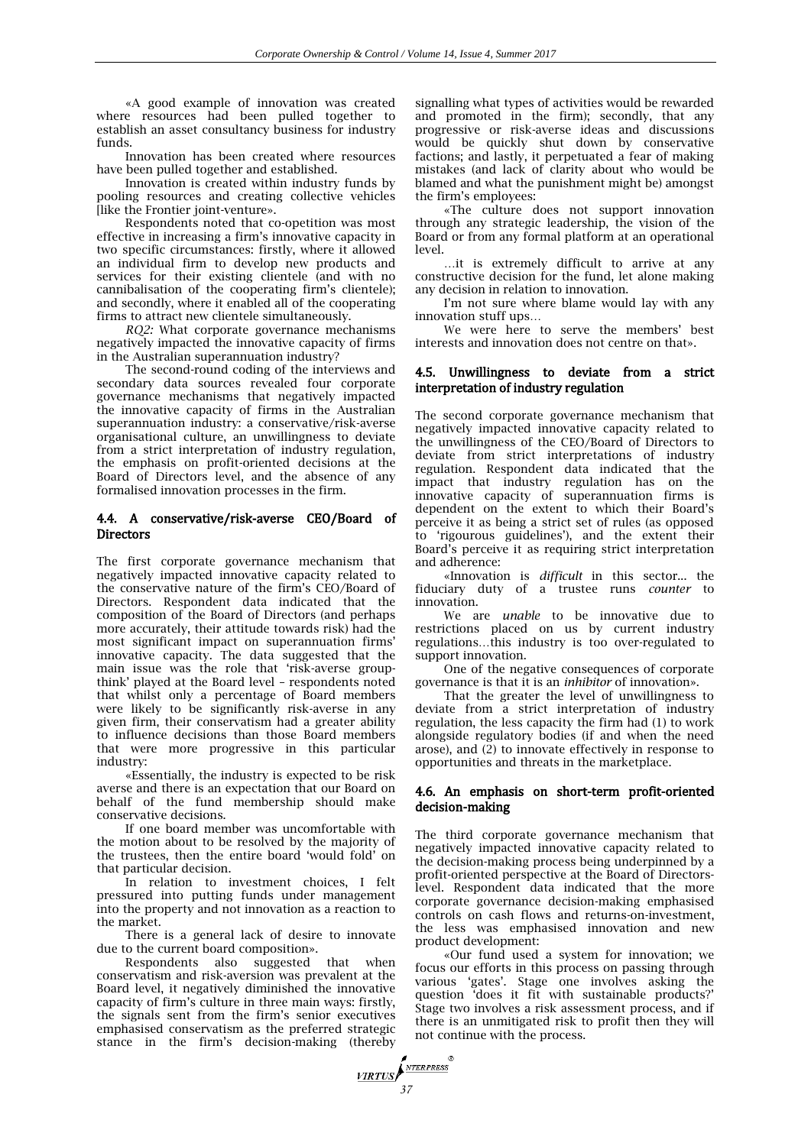«A good example of innovation was created where resources had been pulled together to establish an asset consultancy business for industry funds.

Innovation has been created where resources have been pulled together and established.

Innovation is created within industry funds by pooling resources and creating collective vehicles [like the Frontier joint-venture».

Respondents noted that co-opetition was most effective in increasing a firm's innovative capacity in two specific circumstances: firstly, where it allowed an individual firm to develop new products and services for their existing clientele (and with no cannibalisation of the cooperating firm's clientele); and secondly, where it enabled all of the cooperating firms to attract new clientele simultaneously.

*RQ2:* What corporate governance mechanisms negatively impacted the innovative capacity of firms in the Australian superannuation industry?

The second-round coding of the interviews and secondary data sources revealed four corporate governance mechanisms that negatively impacted the innovative capacity of firms in the Australian superannuation industry: a conservative/risk-averse organisational culture, an unwillingness to deviate from a strict interpretation of industry regulation, the emphasis on profit-oriented decisions at the Board of Directors level, and the absence of any formalised innovation processes in the firm.

#### 4.4. A conservative/risk-averse CEO/Board of **Directors**

The first corporate governance mechanism that negatively impacted innovative capacity related to the conservative nature of the firm's CEO/Board of Directors. Respondent data indicated that the composition of the Board of Directors (and perhaps more accurately, their attitude towards risk) had the most significant impact on superannuation firms' innovative capacity. The data suggested that the main issue was the role that 'risk-averse groupthink' played at the Board level – respondents noted that whilst only a percentage of Board members were likely to be significantly risk-averse in any given firm, their conservatism had a greater ability to influence decisions than those Board members that were more progressive in this particular industry:

«Essentially, the industry is expected to be risk averse and there is an expectation that our Board on behalf of the fund membership should make conservative decisions.

If one board member was uncomfortable with the motion about to be resolved by the majority of the trustees, then the entire board 'would fold' on that particular decision.

In relation to investment choices, I felt pressured into putting funds under management into the property and not innovation as a reaction to the market.

There is a general lack of desire to innovate due to the current board composition».

Respondents also suggested that when conservatism and risk-aversion was prevalent at the Board level, it negatively diminished the innovative capacity of firm's culture in three main ways: firstly, the signals sent from the firm's senior executives emphasised conservatism as the preferred strategic stance in the firm's decision-making (thereby signalling what types of activities would be rewarded and promoted in the firm); secondly, that any progressive or risk-averse ideas and discussions would be quickly shut down by conservative factions; and lastly, it perpetuated a fear of making mistakes (and lack of clarity about who would be blamed and what the punishment might be) amongst the firm's employees:

«The culture does not support innovation through any strategic leadership, the vision of the Board or from any formal platform at an operational level.

…it is extremely difficult to arrive at any constructive decision for the fund, let alone making any decision in relation to innovation.

I'm not sure where blame would lay with any innovation stuff ups…

We were here to serve the members' best interests and innovation does not centre on that».

#### 4.5. Unwillingness to deviate from a strict interpretation of industry regulation

The second corporate governance mechanism that negatively impacted innovative capacity related to the unwillingness of the CEO/Board of Directors to deviate from strict interpretations of industry regulation. Respondent data indicated that the impact that industry regulation has on the innovative capacity of superannuation firms is dependent on the extent to which their Board's perceive it as being a strict set of rules (as opposed to 'rigourous guidelines'), and the extent their Board's perceive it as requiring strict interpretation and adherence:

«Innovation is *difficult* in this sector... the fiduciary duty of a trustee runs *counter* to innovation.

We are *unable* to be innovative due to restrictions placed on us by current industry regulations…this industry is too over-regulated to support innovation.

One of the negative consequences of corporate governance is that it is an *inhibitor* of innovation».

That the greater the level of unwillingness to deviate from a strict interpretation of industry regulation, the less capacity the firm had (1) to work alongside regulatory bodies (if and when the need arose), and (2) to innovate effectively in response to opportunities and threats in the marketplace.

#### 4.6. An emphasis on short-term profit-oriented decision-making

The third corporate governance mechanism that negatively impacted innovative capacity related to the decision-making process being underpinned by a profit-oriented perspective at the Board of Directorslevel. Respondent data indicated that the more corporate governance decision-making emphasised controls on cash flows and returns-on-investment, the less was emphasised innovation and new product development:

«Our fund used a system for innovation; we focus our efforts in this process on passing through various 'gates'. Stage one involves asking the question 'does it fit with sustainable products?' Stage two involves a risk assessment process, and if there is an unmitigated risk to profit then they will not continue with the process.

NTERPRESS **VIRTUS** *37*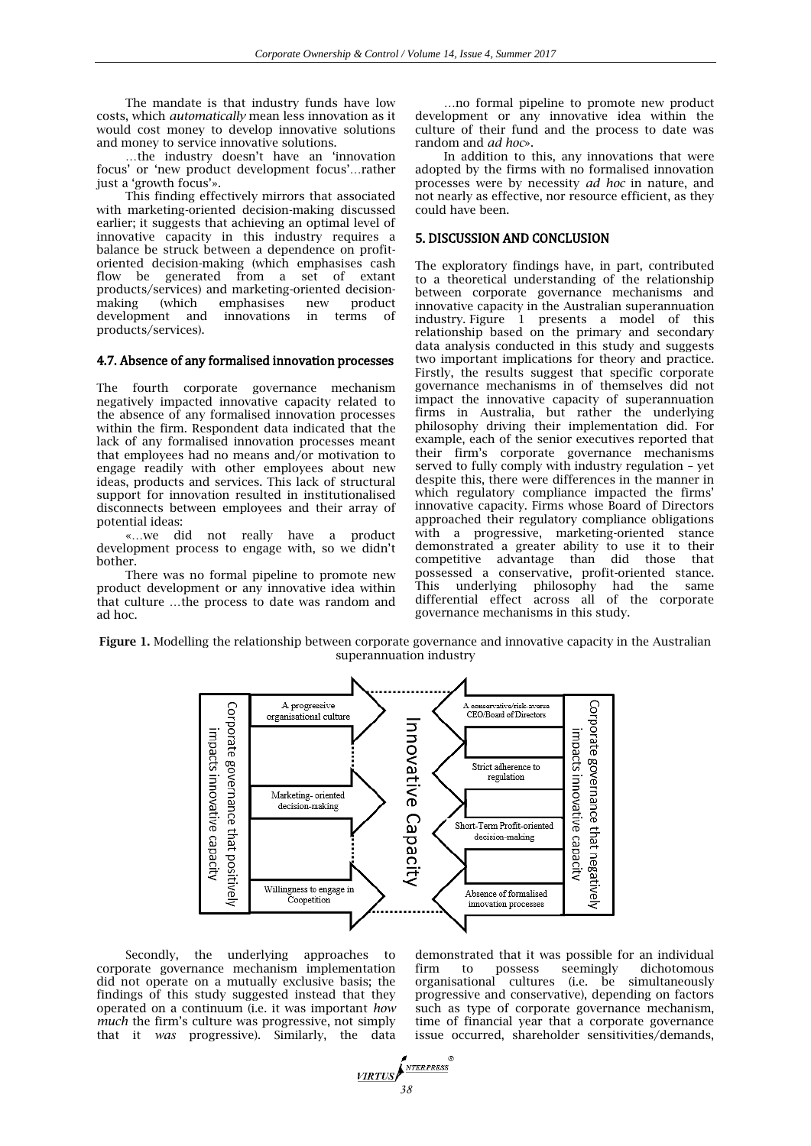The mandate is that industry funds have low costs, which *automatically* mean less innovation as it would cost money to develop innovative solutions and money to service innovative solutions.

…the industry doesn't have an 'innovation focus' or 'new product development focus'…rather just a 'growth focus'».

This finding effectively mirrors that associated with marketing-oriented decision-making discussed earlier; it suggests that achieving an optimal level of innovative capacity in this industry requires a balance be struck between a dependence on profitoriented decision-making (which emphasises cash flow be generated from a set of extant products/services) and marketing-oriented decision-<br>making (which emphasises new product making (which emphasises new development and innovations in terms of products/services).

#### 4.7. Absence of any formalised innovation processes

The fourth corporate governance mechanism negatively impacted innovative capacity related to the absence of any formalised innovation processes within the firm. Respondent data indicated that the lack of any formalised innovation processes meant that employees had no means and/or motivation to engage readily with other employees about new ideas, products and services. This lack of structural support for innovation resulted in institutionalised disconnects between employees and their array of potential ideas:

«…we did not really have a product development process to engage with, so we didn't bother.

There was no formal pipeline to promote new product development or any innovative idea within that culture …the process to date was random and ad hoc.

…no formal pipeline to promote new product development or any innovative idea within the culture of their fund and the process to date was random and *ad hoc*».

In addition to this, any innovations that were adopted by the firms with no formalised innovation processes were by necessity *ad hoc* in nature, and not nearly as effective, nor resource efficient, as they could have been.

### 5. DISCUSSION AND CONCLUSION

The exploratory findings have, in part, contributed to a theoretical understanding of the relationship between corporate governance mechanisms and innovative capacity in the Australian superannuation industry. Figure 1 presents a model of this relationship based on the primary and secondary data analysis conducted in this study and suggests two important implications for theory and practice. Firstly, the results suggest that specific corporate governance mechanisms in of themselves did not impact the innovative capacity of superannuation firms in Australia, but rather the underlying philosophy driving their implementation did. For example, each of the senior executives reported that their firm's corporate governance mechanisms served to fully comply with industry regulation – yet despite this, there were differences in the manner in which regulatory compliance impacted the firms' innovative capacity. Firms whose Board of Directors approached their regulatory compliance obligations with a progressive, marketing-oriented stance demonstrated a greater ability to use it to their competitive advantage than did those that possessed a conservative, profit-oriented stance. This underlying philosophy had the same differential effect across all of the corporate governance mechanisms in this study.

**Figure 1.** Modelling the relationship between corporate governance and innovative capacity in the Australian superannuation industry



Secondly, the underlying approaches to corporate governance mechanism implementation did not operate on a mutually exclusive basis; the findings of this study suggested instead that they operated on a continuum (i.e. it was important *how much* the firm's culture was progressive, not simply that it *was* progressive). Similarly, the data

demonstrated that it was possible for an individual firm to possess seemingly dichotomous organisational cultures (i.e. be simultaneously progressive and conservative), depending on factors such as type of corporate governance mechanism, time of financial year that a corporate governance issue occurred, shareholder sensitivities/demands,

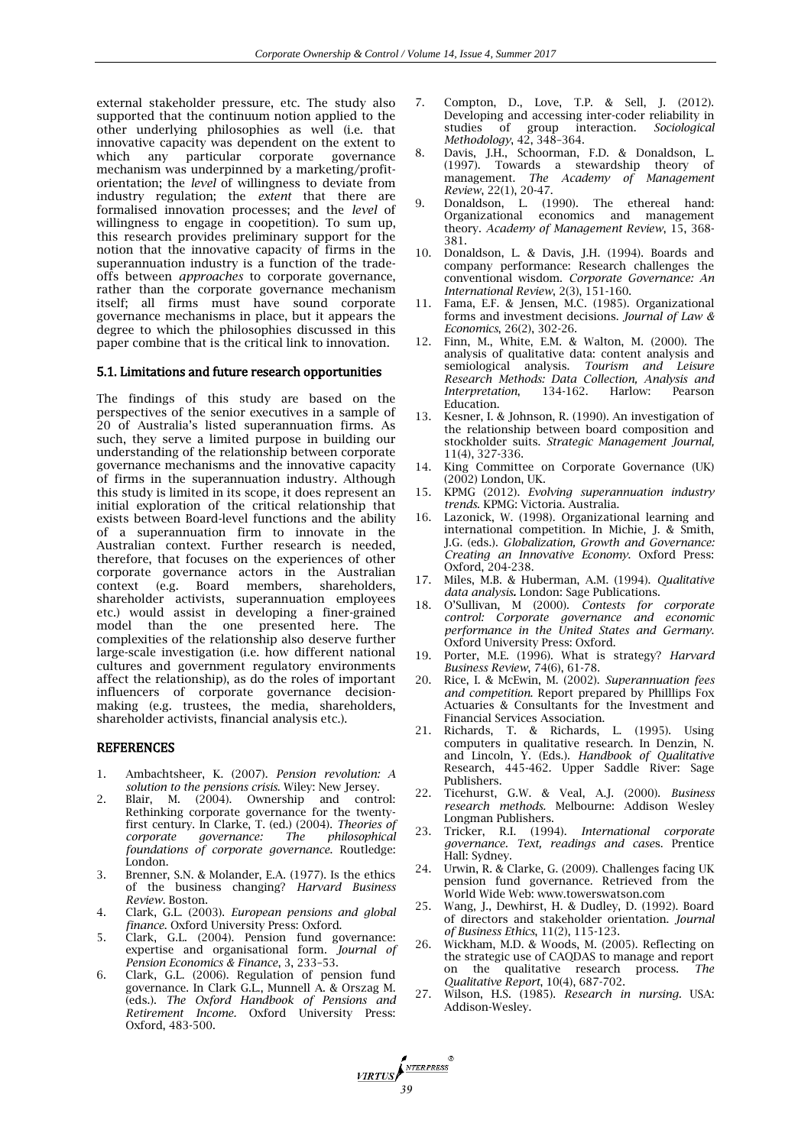external stakeholder pressure, etc. The study also supported that the continuum notion applied to the other underlying philosophies as well (i.e. that innovative capacity was dependent on the extent to which any particular corporate governance mechanism was underpinned by a marketing/profitorientation; the *level* of willingness to deviate from industry regulation; the *extent* that there are formalised innovation processes; and the *level* of willingness to engage in coopetition). To sum up, this research provides preliminary support for the notion that the innovative capacity of firms in the superannuation industry is a function of the tradeoffs between *approaches* to corporate governance, rather than the corporate governance mechanism itself; all firms must have sound corporate governance mechanisms in place, but it appears the degree to which the philosophies discussed in this paper combine that is the critical link to innovation.

#### 5.1. Limitations and future research opportunities

The findings of this study are based on the perspectives of the senior executives in a sample of 20 of Australia's listed superannuation firms. As such, they serve a limited purpose in building our understanding of the relationship between corporate governance mechanisms and the innovative capacity of firms in the superannuation industry. Although this study is limited in its scope, it does represent an initial exploration of the critical relationship that exists between Board-level functions and the ability of a superannuation firm to innovate in the Australian context. Further research is needed, therefore, that focuses on the experiences of other corporate governance actors in the Australian Board members, shareholders, shareholder activists, superannuation employees etc.) would assist in developing a finer-grained model than the one presented here. The complexities of the relationship also deserve further large-scale investigation (i.e. how different national cultures and government regulatory environments affect the relationship), as do the roles of important influencers of corporate governance decisionmaking (e.g. trustees, the media, shareholders, shareholder activists, financial analysis etc.).

#### REFERENCES

- 1. Ambachtsheer, K. (2007). *Pension revolution: A solution to the pensions crisis*. Wiley: New Jersey.
- 2. Blair, M. (2004). Ownership and control: Rethinking corporate governance for the twentyfirst century. In Clarke, T. (ed.) (2004). *Theories of corporate governance: The philosophical foundations of corporate governance*. Routledge: London.
- 3. Brenner, S.N. & Molander, E.A. (1977). Is the ethics of the business changing? *Harvard Business Review*. Boston.
- 4. Clark, G.L. (2003). *European pensions and global finance*. Oxford University Press: Oxford.
- 5. Clark, G.L. (2004). Pension fund governance: expertise and organisational form. *Journal of Pension Economics & Finance*, 3, 233–53.
- 6. Clark, G.L. (2006). Regulation of pension fund governance. In Clark G.L., Munnell A. & Orszag M. (eds.). *The Oxford Handbook of Pensions and Retirement Income.* Oxford University Press: Oxford, 483-500.

**17RTUS** 

- 7. Compton, D., Love, T.P. & Sell, J. (2012). Developing and accessing inter-coder reliability in studies of group interaction. *Sociological Methodology*, 42, 348–364.
- 8. Davis, J.H., Schoorman, F.D. & Donaldson, L. (1997). Towards a stewardship theory of management. *The Academy of Management Review*, 22(1), 20-47.
- 9. Donaldson, L. (1990). The ethereal hand: Organizational economics and management theory. *Academy of Management Review*, 15, 368- 381.
- 10. Donaldson, L. & Davis, J.H. (1994). Boards and company performance: Research challenges the conventional wisdom. *Corporate Governance: An International Review*, 2(3), 151-160.
- 11. Fama, E.F. & Jensen, M.C. (1985). Organizational forms and investment decisions. *Journal of Law & Economics*, 26(2), 302-26.
- 12. Finn, M., White, E.M. & Walton, M. (2000). The analysis of qualitative data: content analysis and semiological analysis. *Tourism and Leisure Research Methods: Data Collection, Analysis and Interpretation*, 134-162. Harlow: Pearson Education.
- 13. Kesner, I. & Johnson, R. (1990). An investigation of the relationship between board composition and stockholder suits. *Strategic Management Journal,*  11(4), 327-336.
- 14. King Committee on Corporate Governance (UK) (2002) London, UK.
- 15. KPMG (2012). *Evolving superannuation industry trends*. KPMG: Victoria. Australia.
- 16. Lazonick, W. (1998). Organizational learning and international competition. In Michie, J. & Smith, J.G. (eds.). *Globalization, Growth and Governance: Creating an Innovative Economy*. Oxford Press: Oxford, 204-238.
- 17. Miles, M.B. & Huberman, A.M. (1994). *Qualitative data analysis.* London: Sage Publications.
- 18. O'Sullivan, M (2000). *Contests for corporate control: Corporate governance and economic performance in the United States and Germany*. Oxford University Press: Oxford.
- 19. Porter, M.E. (1996). What is strategy? *Harvard Business Review*, 74(6), 61-78.
- 20. Rice, I. & McEwin, M. (2002). *Superannuation fees and competition*. Report prepared by Philllips Fox Actuaries & Consultants for the Investment and Financial Services Association.
- 21. Richards, T. & Richards, L. (1995). Using computers in qualitative research. In Denzin, N. and Lincoln, Y. (Eds.). *Handbook of Qualitative*  Research, 445-462*.* Upper Saddle River: Sage Publishers.
- 22. Ticehurst, G.W. & Veal, A.J. (2000). *Business research methods.* Melbourne: Addison Wesley Longman Publishers.
- 23. Tricker, R.I. (1994). *International corporate governance. Text, readings and case*s. Prentice Hall: Sydney.
- 24. Urwin, R. & Clarke, G. (2009). Challenges facing UK pension fund governance. Retrieved from the World Wide Web: www.towerswatson.com
- 25. Wang, J., Dewhirst, H. & Dudley, D. (1992). Board of directors and stakeholder orientation. *Journal of Business Ethics*, 11(2), 115-123.
- 26. Wickham, M.D. & Woods, M. (2005). Reflecting on the strategic use of CAQDAS to manage and report on the qualitative research process. *The Qualitative Report*, 10(4), 687-702.
- 27. Wilson, H.S. (1985). *Research in nursing.* USA: Addison-Wesley.